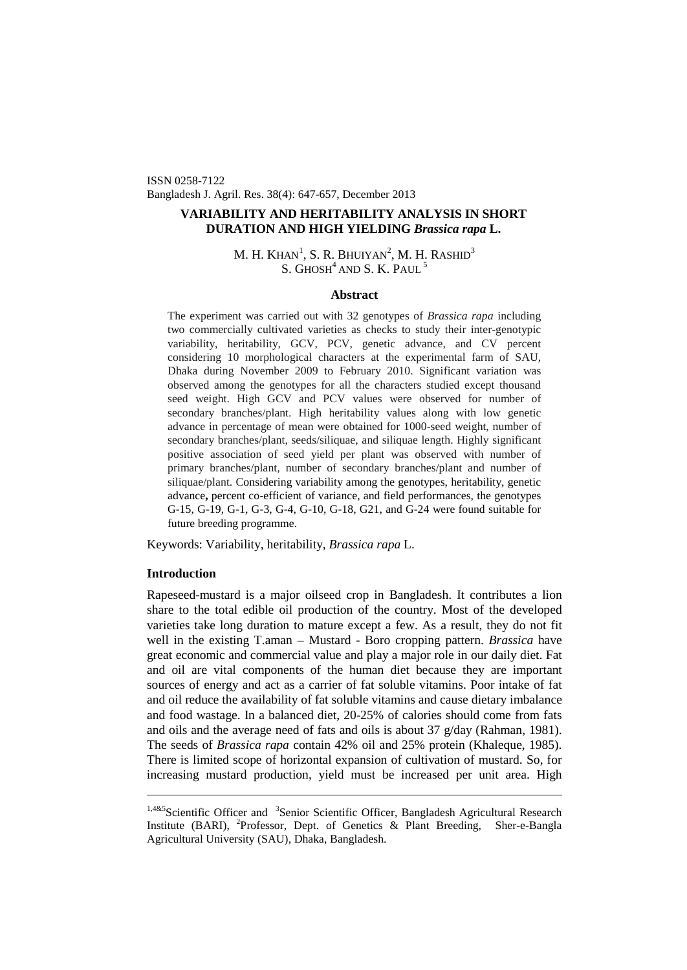ISSN 0258-7122 Bangladesh J. Agril. Res. 38(4): 647-657, December 2013

# **VARIABILITY AND HERITABILITY ANALYSIS IN SHORT DURATION AND HIGH YIELDING** *Brassica rapa* **L.**

# M. H. Khan $^1$  $^1$ , S. R. Bhuiyan $^2$ , M. H. Rashid $^3$ S. GHOSH<sup>4</sup> AND S. K. PAUL<sup>5</sup>

## **Abstract**

The experiment was carried out with 32 genotypes of *Brassica rapa* including two commercially cultivated varieties as checks to study their inter-genotypic variability, heritability, GCV, PCV, genetic advance, and CV percent considering 10 morphological characters at the experimental farm of SAU, Dhaka during November 2009 to February 2010. Significant variation was observed among the genotypes for all the characters studied except thousand seed weight. High GCV and PCV values were observed for number of secondary branches/plant. High heritability values along with low genetic advance in percentage of mean were obtained for 1000-seed weight, number of secondary branches/plant, seeds/siliquae, and siliquae length. Highly significant positive association of seed yield per plant was observed with number of primary branches/plant, number of secondary branches/plant and number of siliquae/plant. Considering variability among the genotypes, heritability, genetic advance**,** percent co-efficient of variance, and field performances, the genotypes G-15, G-19, G-1, G-3, G-4, G-10, G-18, G21, and G-24 were found suitable for future breeding programme.

Keywords: Variability, heritability, *Brassica rapa* L.

# **Introduction**

Rapeseed-mustard is a major oilseed crop in Bangladesh. It contributes a lion share to the total edible oil production of the country. Most of the developed varieties take long duration to mature except a few. As a result, they do not fit well in the existing T.aman – Mustard - Boro cropping pattern. *Brassica* have great economic and commercial value and play a major role in our daily diet. Fat and oil are vital components of the human diet because they are important sources of energy and act as a carrier of fat soluble vitamins. Poor intake of fat and oil reduce the availability of fat soluble vitamins and cause dietary imbalance and food wastage. In a balanced diet, 20-25% of calories should come from fats and oils and the average need of fats and oils is about 37 g/day (Rahman, 1981). The seeds of *Brassica rapa* contain 42% oil and 25% protein (Khaleque, 1985). There is limited scope of horizontal expansion of cultivation of mustard. So, for increasing mustard production, yield must be increased per unit area. High

<span id="page-0-0"></span><sup>&</sup>lt;sup>1,4&5</sup>Scientific Officer and <sup>3</sup>Senior Scientific Officer, Bangladesh Agricultural Research Institute (BARI), <sup>2</sup>Professor, Dept. of Genetics & Plant Breeding, Sher-e-Bangla Agricultural University (SAU), Dhaka, Bangladesh.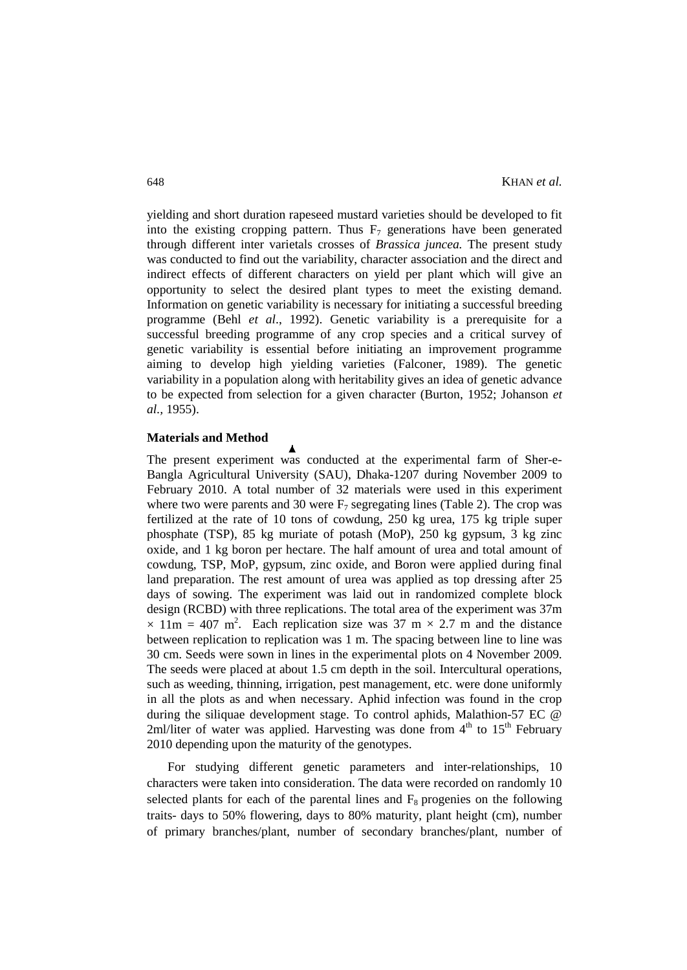yielding and short duration rapeseed mustard varieties should be developed to fit into the existing cropping pattern. Thus  $F_7$  generations have been generated through different inter varietals crosses of *Brassica juncea.* The present study was conducted to find out the variability, character association and the direct and indirect effects of different characters on yield per plant which will give an opportunity to select the desired plant types to meet the existing demand. Information on genetic variability is necessary for initiating a successful breeding programme (Behl *et al*., 1992). Genetic variability is a prerequisite for a successful breeding programme of any crop species and a critical survey of genetic variability is essential before initiating an improvement programme aiming to develop high yielding varieties (Falconer, 1989). The genetic variability in a population along with heritability gives an idea of genetic advance to be expected from selection for a given character (Burton, 1952; Johanson *et al.,* 1955).

### **Materials and Method**

The present experiment was conducted at the experimental farm of Sher-e-Bangla Agricultural University (SAU), Dhaka-1207 during November 2009 to February 2010. A total number of 32 materials were used in this experiment where two were parents and 30 were  $F_7$  segregating lines (Table 2). The crop was fertilized at the rate of 10 tons of cowdung, 250 kg urea, 175 kg triple super phosphate (TSP), 85 kg muriate of potash (MoP), 250 kg gypsum, 3 kg zinc oxide, and 1 kg boron per hectare. The half amount of urea and total amount of cowdung, TSP, MoP, gypsum, zinc oxide, and Boron were applied during final land preparation. The rest amount of urea was applied as top dressing after 25 days of sowing. The experiment was laid out in randomized complete block design (RCBD) with three replications. The total area of the experiment was 37m  $\times$  11m = 407 m<sup>2</sup>. Each replication size was 37 m  $\times$  2.7 m and the distance between replication to replication was 1 m. The spacing between line to line was 30 cm. Seeds were sown in lines in the experimental plots on 4 November 2009. The seeds were placed at about 1.5 cm depth in the soil. Intercultural operations, such as weeding, thinning, irrigation, pest management, etc. were done uniformly in all the plots as and when necessary. Aphid infection was found in the crop during the siliquae development stage. To control aphids, Malathion-57 EC @ 2ml/liter of water was applied. Harvesting was done from  $4<sup>th</sup>$  to  $15<sup>th</sup>$  February 2010 depending upon the maturity of the genotypes.

For studying different genetic parameters and inter-relationships, 10 characters were taken into consideration. The data were recorded on randomly 10 selected plants for each of the parental lines and  $F_8$  progenies on the following traits- days to 50% flowering, days to 80% maturity, plant height (cm), number of primary branches/plant, number of secondary branches/plant, number of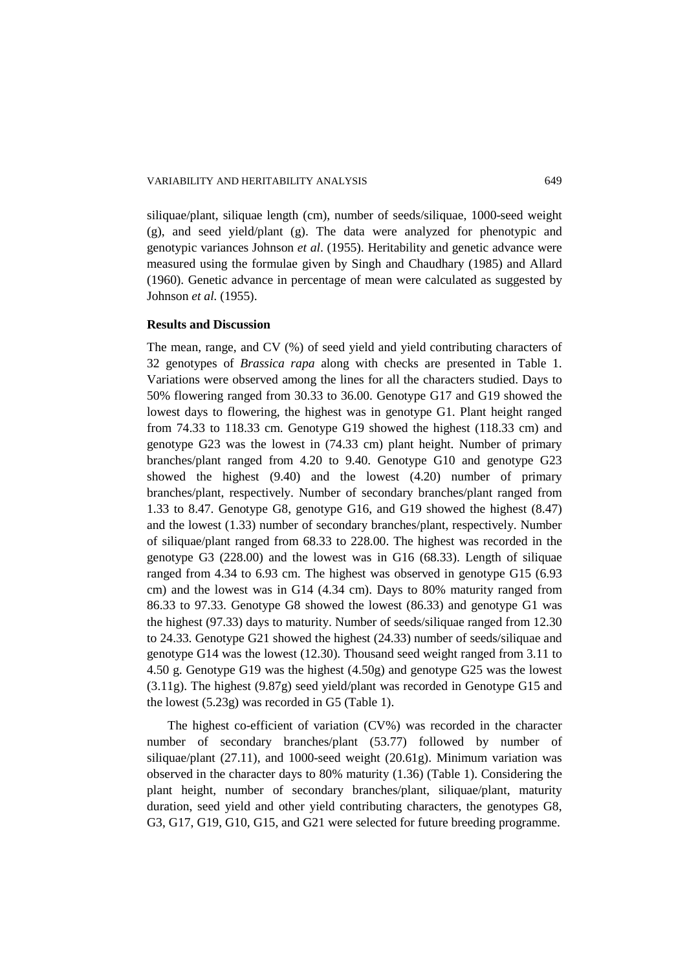siliquae/plant, siliquae length (cm), number of seeds/siliquae, 1000-seed weight (g), and seed yield/plant (g). The data were analyzed for phenotypic and genotypic variances Johnson *et al*. (1955). Heritability and genetic advance were measured using the formulae given by Singh and Chaudhary (1985) and Allard (1960). Genetic advance in percentage of mean were calculated as suggested by Johnson *et al.* (1955).

### **Results and Discussion**

The mean, range, and CV (%) of seed yield and yield contributing characters of 32 genotypes of *Brassica rapa* along with checks are presented in Table 1. Variations were observed among the lines for all the characters studied. Days to 50% flowering ranged from 30.33 to 36.00. Genotype G17 and G19 showed the lowest days to flowering, the highest was in genotype G1. Plant height ranged from 74.33 to 118.33 cm. Genotype G19 showed the highest (118.33 cm) and genotype G23 was the lowest in (74.33 cm) plant height. Number of primary branches/plant ranged from 4.20 to 9.40. Genotype G10 and genotype G23 showed the highest (9.40) and the lowest (4.20) number of primary branches/plant, respectively. Number of secondary branches/plant ranged from 1.33 to 8.47. Genotype G8, genotype G16, and G19 showed the highest (8.47) and the lowest (1.33) number of secondary branches/plant, respectively. Number of siliquae/plant ranged from 68.33 to 228.00. The highest was recorded in the genotype G3 (228.00) and the lowest was in G16 (68.33). Length of siliquae ranged from 4.34 to 6.93 cm. The highest was observed in genotype G15 (6.93 cm) and the lowest was in G14 (4.34 cm). Days to 80% maturity ranged from 86.33 to 97.33. Genotype G8 showed the lowest (86.33) and genotype G1 was the highest (97.33) days to maturity. Number of seeds/siliquae ranged from 12.30 to 24.33. Genotype G21 showed the highest (24.33) number of seeds/siliquae and genotype G14 was the lowest (12.30). Thousand seed weight ranged from 3.11 to 4.50 g. Genotype G19 was the highest (4.50g) and genotype G25 was the lowest (3.11g). The highest (9.87g) seed yield/plant was recorded in Genotype G15 and the lowest (5.23g) was recorded in G5 (Table 1).

The highest co-efficient of variation (CV%) was recorded in the character number of secondary branches/plant (53.77) followed by number of siliquae/plant (27.11), and 1000-seed weight (20.61g). Minimum variation was observed in the character days to 80% maturity (1.36) (Table 1). Considering the plant height, number of secondary branches/plant, siliquae/plant, maturity duration, seed yield and other yield contributing characters, the genotypes G8, G3, G17, G19, G10, G15, and G21 were selected for future breeding programme.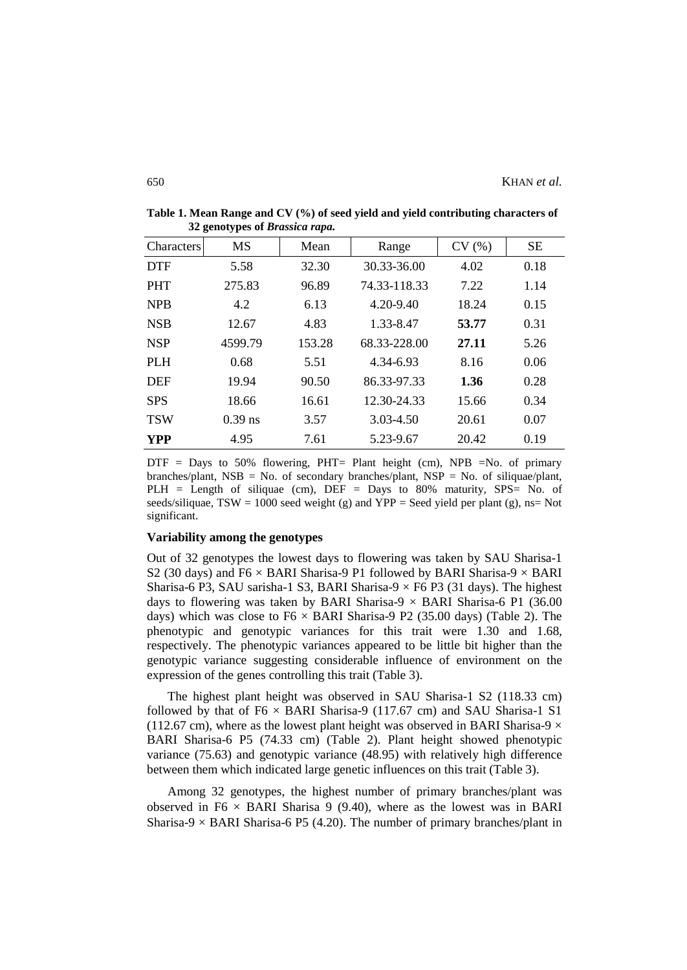| <b>Characters</b> | <b>MS</b> | Mean   | CV(%)<br>Range |       | <b>SE</b> |  |
|-------------------|-----------|--------|----------------|-------|-----------|--|
| <b>DTF</b>        | 5.58      | 32.30  | 30.33-36.00    | 4.02  | 0.18      |  |
| <b>PHT</b>        | 275.83    | 96.89  | 74.33-118.33   | 7.22  | 1.14      |  |
| <b>NPB</b>        | 4.2       | 6.13   | 4.20-9.40      | 18.24 | 0.15      |  |
| <b>NSB</b>        | 12.67     | 4.83   | 1.33-8.47      | 53.77 | 0.31      |  |
| <b>NSP</b>        | 4599.79   | 153.28 | 68.33-228.00   | 27.11 | 5.26      |  |
| <b>PLH</b>        | 0.68      | 5.51   | 4.34-6.93      | 8.16  | 0.06      |  |
| <b>DEF</b>        | 19.94     | 90.50  | 86.33-97.33    | 1.36  | 0.28      |  |
| <b>SPS</b>        | 18.66     | 16.61  | 12.30-24.33    | 15.66 | 0.34      |  |
| <b>TSW</b>        | $0.39$ ns | 3.57   | 3.03-4.50      | 20.61 | 0.07      |  |
| <b>YPP</b>        | 4.95      | 7.61   | 5.23-9.67      | 20.42 | 0.19      |  |

**Table 1. Mean Range and CV (%) of seed yield and yield contributing characters of 32 genotypes of** *Brassica rapa.*

 $DTF =$  Days to 50% flowering, PHT= Plant height (cm), NPB =No. of primary branches/plant, NSB = No. of secondary branches/plant, NSP = No. of siliquae/plant, PLH = Length of siliquae (cm), DEF = Days to 80% maturity, SPS= No. of seeds/siliquae, TSW = 1000 seed weight (g) and YPP = Seed yield per plant (g), ns= Not significant.

#### **Variability among the genotypes**

Out of 32 genotypes the lowest days to flowering was taken by SAU Sharisa-1 S2 (30 days) and F6  $\times$  BARI Sharisa-9 P1 followed by BARI Sharisa-9  $\times$  BARI Sharisa-6 P3, SAU sarisha-1 S3, BARI Sharisa-9  $\times$  F6 P3 (31 days). The highest days to flowering was taken by BARI Sharisa-9  $\times$  BARI Sharisa-6 P1 (36.00 days) which was close to  $F6 \times BARI$  Sharisa-9 P2 (35.00 days) (Table 2). The phenotypic and genotypic variances for this trait were 1.30 and 1.68, respectively. The phenotypic variances appeared to be little bit higher than the genotypic variance suggesting considerable influence of environment on the expression of the genes controlling this trait (Table 3).

The highest plant height was observed in SAU Sharisa-1 S2 (118.33 cm) followed by that of  $F6 \times BARI$  Sharisa-9 (117.67 cm) and SAU Sharisa-1 S1 (112.67 cm), where as the lowest plant height was observed in BARI Sharisa-9  $\times$ BARI Sharisa-6 P5 (74.33 cm) (Table 2). Plant height showed phenotypic variance (75.63) and genotypic variance (48.95) with relatively high difference between them which indicated large genetic influences on this trait (Table 3).

Among 32 genotypes, the highest number of primary branches/plant was observed in F6  $\times$  BARI Sharisa 9 (9.40), where as the lowest was in BARI Sharisa-9  $\times$  BARI Sharisa-6 P5 (4.20). The number of primary branches/plant in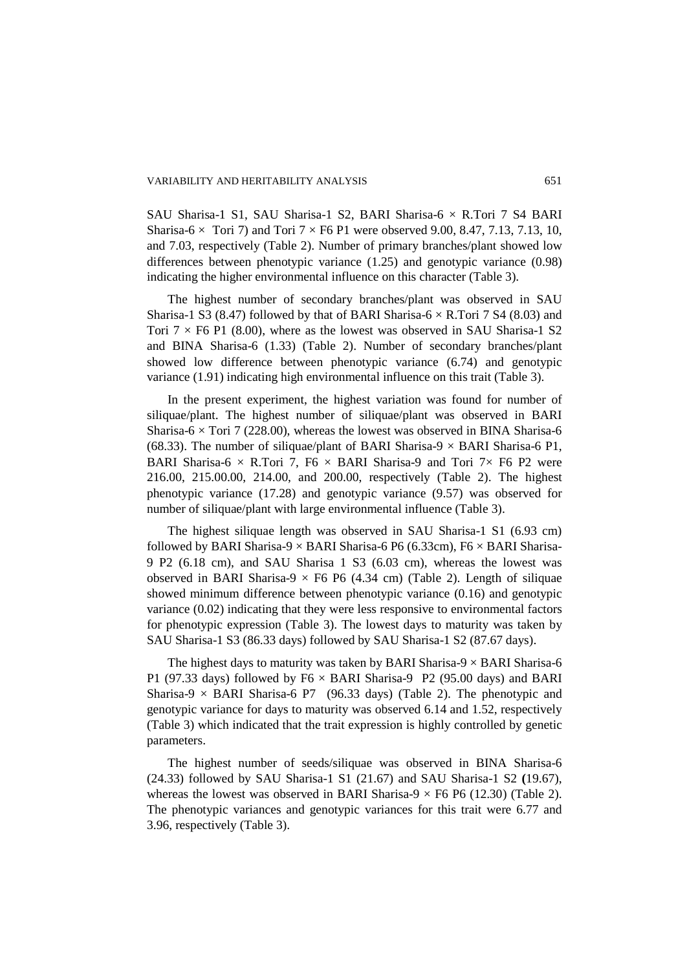SAU Sharisa-1 S1, SAU Sharisa-1 S2, BARI Sharisa-6 × R.Tori 7 S4 BARI Sharisa-6  $\times$  Tori 7) and Tori 7  $\times$  F6 P1 were observed 9.00, 8.47, 7.13, 7.13, 10, and 7.03, respectively (Table 2). Number of primary branches/plant showed low differences between phenotypic variance (1.25) and genotypic variance (0.98) indicating the higher environmental influence on this character (Table 3).

The highest number of secondary branches/plant was observed in SAU Sharisa-1 S3 (8.47) followed by that of BARI Sharisa-6  $\times$  R.Tori 7 S4 (8.03) and Tori  $7 \times$  F6 P1 (8.00), where as the lowest was observed in SAU Sharisa-1 S2 and BINA Sharisa-6 (1.33) (Table 2). Number of secondary branches/plant showed low difference between phenotypic variance (6.74) and genotypic variance (1.91) indicating high environmental influence on this trait (Table 3).

In the present experiment, the highest variation was found for number of siliquae/plant. The highest number of siliquae/plant was observed in BARI Sharisa-6  $\times$  Tori 7 (228.00), whereas the lowest was observed in BINA Sharisa-6 (68.33). The number of siliquae/plant of BARI Sharisa-9  $\times$  BARI Sharisa-6 P1, BARI Sharisa-6  $\times$  R.Tori 7, F6  $\times$  BARI Sharisa-9 and Tori 7 $\times$  F6 P2 were 216.00, 215.00.00, 214.00, and 200.00, respectively (Table 2). The highest phenotypic variance (17.28) and genotypic variance (9.57) was observed for number of siliquae/plant with large environmental influence (Table 3).

The highest siliquae length was observed in SAU Sharisa-1 S1 (6.93 cm) followed by BARI Sharisa-9  $\times$  BARI Sharisa-6 P6 (6.33cm), F6  $\times$  BARI Sharisa-9 P2 (6.18 cm), and SAU Sharisa 1 S3 (6.03 cm), whereas the lowest was observed in BARI Sharisa-9  $\times$  F6 P6 (4.34 cm) (Table 2). Length of siliquae showed minimum difference between phenotypic variance (0.16) and genotypic variance (0.02) indicating that they were less responsive to environmental factors for phenotypic expression (Table 3). The lowest days to maturity was taken by SAU Sharisa-1 S3 (86.33 days) followed by SAU Sharisa-1 S2 (87.67 days).

The highest days to maturity was taken by BARI Sharisa-9  $\times$  BARI Sharisa-6 P1 (97.33 days) followed by  $F6 \times BARI$  Sharisa-9 P2 (95.00 days) and BARI Sharisa-9  $\times$  BARI Sharisa-6 P7 (96.33 days) (Table 2). The phenotypic and genotypic variance for days to maturity was observed 6.14 and 1.52, respectively (Table 3) which indicated that the trait expression is highly controlled by genetic parameters.

The highest number of seeds/siliquae was observed in BINA Sharisa-6 (24.33) followed by SAU Sharisa-1 S1 (21.67) and SAU Sharisa-1 S2 **(**19.67), whereas the lowest was observed in BARI Sharisa-9  $\times$  F6 P6 (12.30) (Table 2). The phenotypic variances and genotypic variances for this trait were 6.77 and 3.96, respectively (Table 3).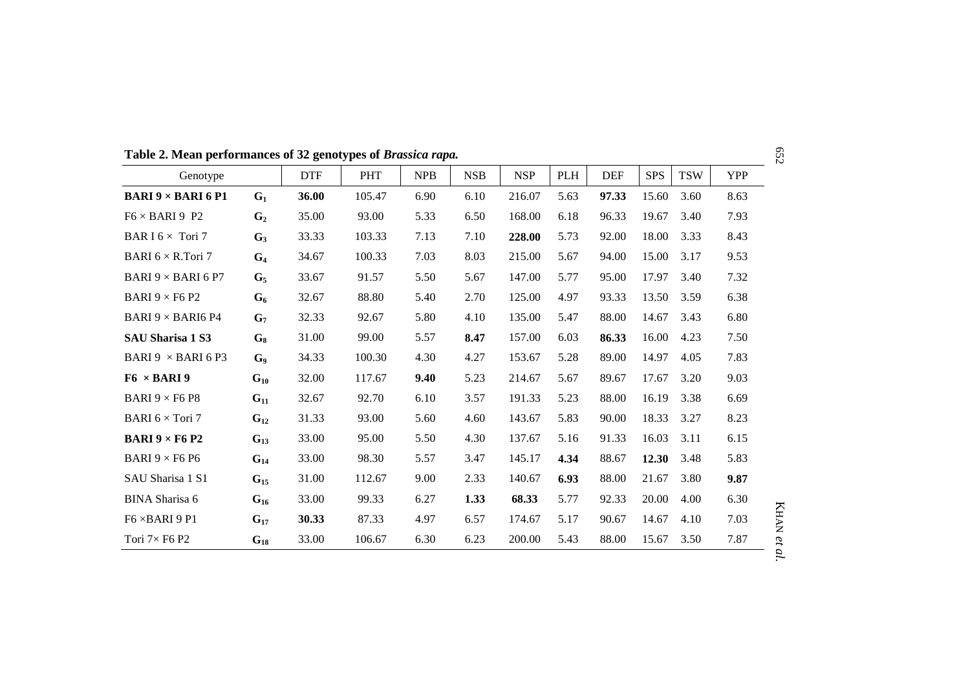Genotype | DTF | PHT | NPB | NSB | NSP | PLH | DEF | SPS | TSW | YPP **BARI 9 × BARI 6 P1 G<sub>1</sub> 36.00** 105.47 6.90 6.10 216.07 5.63 **97.33** 15.60 3.60 8.63 F6 × BARI 9 P2  $G_2$  35.00 93.00 5.33 6.50 168.00 6.18 96.33 19.67 3.40 7.93 **BAR I** 6 × Tori 7 **G<sub>3</sub>** 33.33 103.33 7.13 7.10 **228.00** 5.73 92.00 18.00 3.33 8.43 BARI 6 × R.Tori 7 **G4** 34.67 100.33 7.03 8.03 215.00 5.67 94.00 15.00 3.17 9.53 BARI 9 × BARI 6 P7 **G5** 33.67 91.57 5.50 5.67 147.00 5.77 95.00 17.97 3.40 7.32 **BARI** 9  $\times$  F6 P2 **G<sub>6</sub>** 32.67 88.80 5.40 2.70 125.00 4.97 93.33 13.50 3.59 6.38 BARI 9 × BARI6 P4 **G7** 32.33 92.67 5.80 4.10 135.00 5.47 88.00 14.67 3.43 6.80 **SAU Sharisa 1 S3 G8** 31.00 99.00 5.57 **8.47** 157.00 6.03 **86.33** 16.00 4.23 7.50 BARI 9 × BARI 6 P3 **G9** 34.33 100.30 4.30 4.27 153.67 5.28 89.00 14.97 4.05 7.83 **F6** × **BARI 9 G<sub>10</sub>** 32.00 117.67 **9.40** 5.23 214.67 5.67 89.67 17.67 3.20 9.03 **BARI** 9 × F6 P8 **G<sub>11</sub>** 32.67 92.70 6.10 3.57 191.33 5.23 88.00 16.19 3.38 6.69 **BARI** 6  $\times$  Tori 7 **G<sub>12</sub>** 31.33 93.00 5.60 4.60 143.67 5.83 90.00 18.33 3.27 8.23 **BARI 9 × F6 P2 G<sub>13</sub>** 33.00 95.00 5.50 4.30 137.67 5.16 91.33 16.03 3.11 6.15 BARI 9 × F6 P6 **G14** 33.00 98.30 5.57 3.47 145.17 **4.34** 88.67 **12.30** 3.48 5.83 SAU Sharisa 1 S1 **G15** 31.00 112.67 9.00 2.33 140.67 **6.93** 88.00 21.67 3.80 **9.87** BINA Sharisa 6 **G16** 33.00 99.33 6.27 **1.33 68.33** 5.77 92.33 20.00 4.00 6.30 F6 ×BARI 9 P1 **G17 30.33** 87.33 4.97 6.57 174.67 5.17 90.67 14.67 4.10 7.03 Tori 7× F6 P2 **G18** 33.00 106.67 6.30 6.23 200.00 5.43 88.00 15.67 3.50 7.87

**Table 2. Mean performances of 32 genotypes of** *Brassica rapa.*

652

KHAN

*et al.*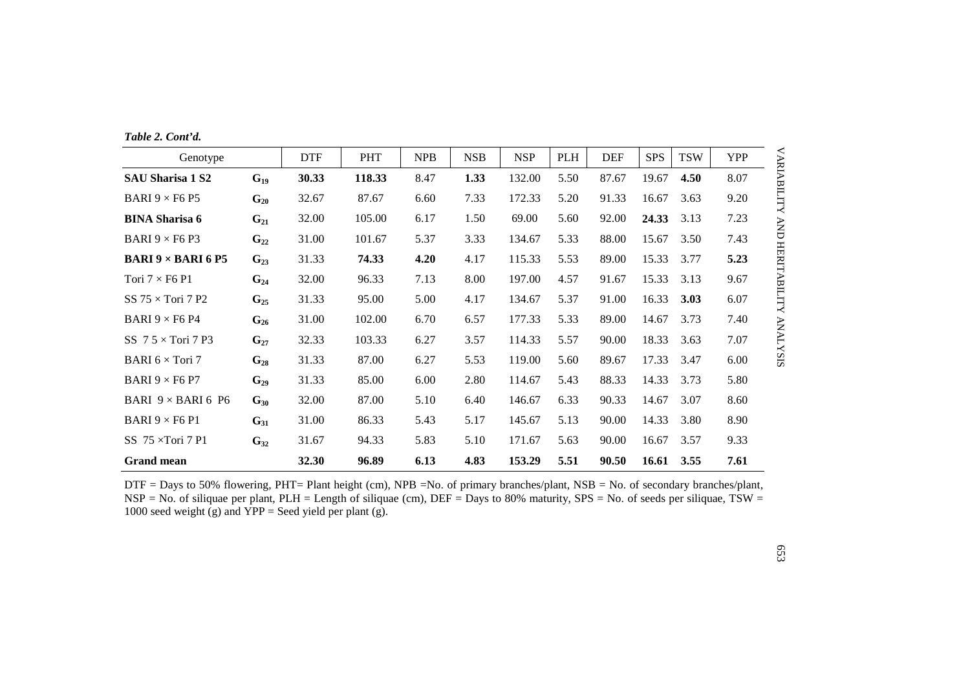|  | Table 2. Cont'd. |
|--|------------------|
|  |                  |

| Genotype                                    |          | <b>DTF</b> | <b>PHT</b> | <b>NPB</b> | <b>NSB</b> | <b>NSP</b> | PLH  | <b>DEF</b> | <b>SPS</b> | <b>TSW</b> | <b>YPP</b> |
|---------------------------------------------|----------|------------|------------|------------|------------|------------|------|------------|------------|------------|------------|
| <b>SAU Sharisa 1 S2</b>                     | $G_{19}$ | 30.33      | 118.33     | 8.47       | 1.33       | 132.00     | 5.50 | 87.67      | 19.67      | 4.50       | 8.07       |
| BARI $9 \times F6$ P5                       | $G_{20}$ | 32.67      | 87.67      | 6.60       | 7.33       | 172.33     | 5.20 | 91.33      | 16.67      | 3.63       | 9.20       |
| <b>BINA Sharisa 6</b>                       | $G_{21}$ | 32.00      | 105.00     | 6.17       | 1.50       | 69.00      | 5.60 | 92.00      | 24.33      | 3.13       | 7.23       |
| BARI $9 \times F6$ P3                       | $G_{22}$ | 31.00      | 101.67     | 5.37       | 3.33       | 134.67     | 5.33 | 88.00      | 15.67      | 3.50       | 7.43       |
| <b>BARI 9 <math>\times</math> BARI 6 P5</b> | $G_{23}$ | 31.33      | 74.33      | 4.20       | 4.17       | 115.33     | 5.53 | 89.00      | 15.33      | 3.77       | 5.23       |
| Tori $7 \times F6$ P1                       | $G_{24}$ | 32.00      | 96.33      | 7.13       | 8.00       | 197.00     | 4.57 | 91.67      | 15.33      | 3.13       | 9.67       |
| SS $75 \times$ Tori 7 P2                    | $G_{25}$ | 31.33      | 95.00      | 5.00       | 4.17       | 134.67     | 5.37 | 91.00      | 16.33      | 3.03       | 6.07       |
| BARI 9 $\times$ F6 P4                       | $G_{26}$ | 31.00      | 102.00     | 6.70       | 6.57       | 177.33     | 5.33 | 89.00      | 14.67      | 3.73       | 7.40       |
| SS $7.5 \times$ Tori 7 P3                   | $G_{27}$ | 32.33      | 103.33     | 6.27       | 3.57       | 114.33     | 5.57 | 90.00      | 18.33      | 3.63       | 7.07       |
| BARI $6 \times$ Tori 7                      | $G_{28}$ | 31.33      | 87.00      | 6.27       | 5.53       | 119.00     | 5.60 | 89.67      | 17.33      | 3.47       | 6.00       |
| BARI $9 \times F6$ P7                       | $G_{29}$ | 31.33      | 85.00      | 6.00       | 2.80       | 114.67     | 5.43 | 88.33      | 14.33      | 3.73       | 5.80       |
| BARI $9 \times$ BARI 6 P6                   | $G_{30}$ | 32.00      | 87.00      | 5.10       | 6.40       | 146.67     | 6.33 | 90.33      | 14.67      | 3.07       | 8.60       |
| BARI $9 \times F6$ P1                       | $G_{31}$ | 31.00      | 86.33      | 5.43       | 5.17       | 145.67     | 5.13 | 90.00      | 14.33      | 3.80       | 8.90       |
| SS $75 \times$ Tori 7 P1                    | $G_{32}$ | 31.67      | 94.33      | 5.83       | 5.10       | 171.67     | 5.63 | 90.00      | 16.67      | 3.57       | 9.33       |
| <b>Grand mean</b>                           |          | 32.30      | 96.89      | 6.13       | 4.83       | 153.29     | 5.51 | 90.50      | 16.61      | 3.55       | 7.61       |

DTF = Days to 50% flowering, PHT= Plant height (cm), NPB =No. of primary branches/plant, NSB = No. of secondary branches/plant, NSP = No. of siliquae per plant, PLH = Length of siliquae (cm), DEF = Days to 80% maturity, SPS = No. of seeds per siliquae, TSW = 1000 seed weight (g) and  $YPP =$  Seed yield per plant (g).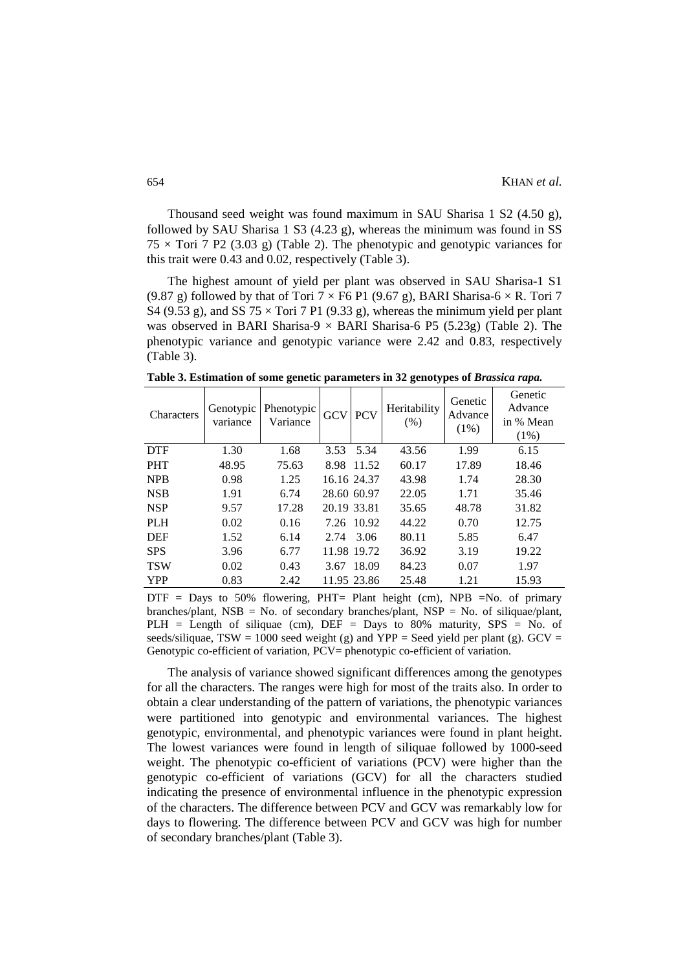Thousand seed weight was found maximum in SAU Sharisa 1 S2 (4.50 g), followed by SAU Sharisa 1 S3 (4.23 g), whereas the minimum was found in SS  $75 \times$  Tori 7 P2 (3.03 g) (Table 2). The phenotypic and genotypic variances for this trait were 0.43 and 0.02, respectively (Table 3).

The highest amount of yield per plant was observed in SAU Sharisa-1 S1 (9.87 g) followed by that of Tori  $7 \times$  F6 P1 (9.67 g), BARI Sharisa-6  $\times$  R. Tori 7 S4 (9.53 g), and SS 75  $\times$  Tori 7 P1 (9.33 g), whereas the minimum yield per plant was observed in BARI Sharisa-9  $\times$  BARI Sharisa-6 P5 (5.23g) (Table 2). The phenotypic variance and genotypic variance were 2.42 and 0.83, respectively (Table 3).

**Table 3. Estimation of some genetic parameters in 32 genotypes of** *Brassica rapa.*

| Characters | Genotypic<br>variance | Phenotypic<br>Variance | <b>GCV</b>  | <b>PCV</b>  | Heritability<br>(% ) | Genetic<br>Advance<br>$(1\%)$ | Genetic<br>Advance<br>in % Mean<br>$(1\%)$ |
|------------|-----------------------|------------------------|-------------|-------------|----------------------|-------------------------------|--------------------------------------------|
| <b>DTF</b> | 1.30                  | 1.68                   | 3.53        | 5.34        | 43.56                | 1.99                          | 6.15                                       |
| <b>PHT</b> | 48.95                 | 75.63                  |             | 8.98 11.52  | 60.17                | 17.89                         | 18.46                                      |
| <b>NPB</b> | 0.98                  | 1.25                   |             | 16.16 24.37 | 43.98                | 1.74                          | 28.30                                      |
| <b>NSB</b> | 1.91                  | 6.74                   | 28.60 60.97 |             | 22.05                | 1.71                          | 35.46                                      |
| <b>NSP</b> | 9.57                  | 17.28                  | 20.19 33.81 |             | 35.65                | 48.78                         | 31.82                                      |
| <b>PLH</b> | 0.02                  | 0.16                   |             | 7.26 10.92  | 44.22                | 0.70                          | 12.75                                      |
| <b>DEF</b> | 1.52                  | 6.14                   |             | 2.74 3.06   | 80.11                | 5.85                          | 6.47                                       |
| <b>SPS</b> | 3.96                  | 6.77                   |             | 11.98 19.72 | 36.92                | 3.19                          | 19.22                                      |
| <b>TSW</b> | 0.02                  | 0.43                   | 3.67        | 18.09       | 84.23                | 0.07                          | 1.97                                       |
| <b>YPP</b> | 0.83                  | 2.42                   |             | 11.95 23.86 | 25.48                | 1.21                          | 15.93                                      |

 $DTF = Days$  to 50% flowering,  $PHT = Plant height$  (cm),  $NPB =No$ . of primary branches/plant, NSB = No. of secondary branches/plant, NSP = No. of siliquae/plant, PLH = Length of siliquae (cm),  $DEF = Days$  to 80% maturity,  $SPS = No$ . of seeds/siliquae, TSW = 1000 seed weight (g) and YPP = Seed yield per plant (g). GCV = Genotypic co-efficient of variation, PCV= phenotypic co-efficient of variation.

The analysis of variance showed significant differences among the genotypes for all the characters. The ranges were high for most of the traits also. In order to obtain a clear understanding of the pattern of variations, the phenotypic variances were partitioned into genotypic and environmental variances. The highest genotypic, environmental, and phenotypic variances were found in plant height. The lowest variances were found in length of siliquae followed by 1000-seed weight. The phenotypic co-efficient of variations (PCV) were higher than the genotypic co-efficient of variations (GCV) for all the characters studied indicating the presence of environmental influence in the phenotypic expression of the characters. The difference between PCV and GCV was remarkably low for days to flowering. The difference between PCV and GCV was high for number of secondary branches/plant (Table 3).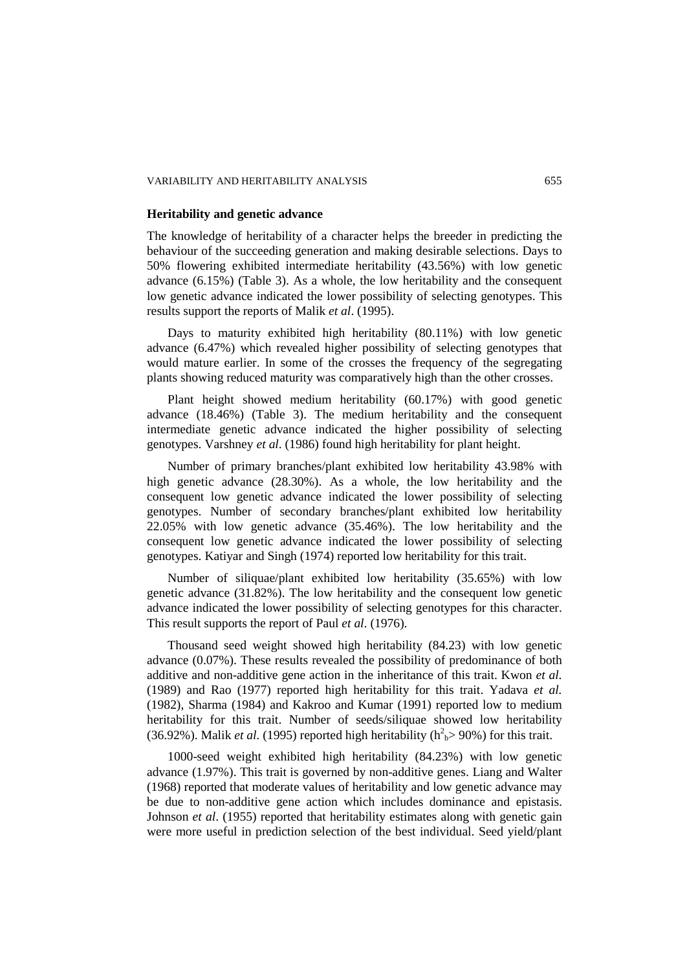#### VARIABILITY AND HERITABILITY ANALYSIS 655

### **Heritability and genetic advance**

The knowledge of heritability of a character helps the breeder in predicting the behaviour of the succeeding generation and making desirable selections. Days to 50% flowering exhibited intermediate heritability (43.56%) with low genetic advance (6.15%) (Table 3). As a whole, the low heritability and the consequent low genetic advance indicated the lower possibility of selecting genotypes. This results support the reports of Malik *et al*. (1995).

Days to maturity exhibited high heritability (80.11%) with low genetic advance (6.47%) which revealed higher possibility of selecting genotypes that would mature earlier. In some of the crosses the frequency of the segregating plants showing reduced maturity was comparatively high than the other crosses.

Plant height showed medium heritability (60.17%) with good genetic advance (18.46%) (Table 3). The medium heritability and the consequent intermediate genetic advance indicated the higher possibility of selecting genotypes. Varshney *et al*. (1986) found high heritability for plant height.

Number of primary branches/plant exhibited low heritability 43.98% with high genetic advance (28.30%). As a whole, the low heritability and the consequent low genetic advance indicated the lower possibility of selecting genotypes. Number of secondary branches/plant exhibited low heritability 22.05% with low genetic advance (35.46%). The low heritability and the consequent low genetic advance indicated the lower possibility of selecting genotypes. Katiyar and Singh (1974) reported low heritability for this trait.

Number of siliquae/plant exhibited low heritability (35.65%) with low genetic advance (31.82%). The low heritability and the consequent low genetic advance indicated the lower possibility of selecting genotypes for this character. This result supports the report of Paul *et al*. (1976).

Thousand seed weight showed high heritability (84.23) with low genetic advance (0.07%). These results revealed the possibility of predominance of both additive and non-additive gene action in the inheritance of this trait. Kwon *et al.* (1989) and Rao (1977) reported high heritability for this trait. Yadava *et al.* (1982), Sharma (1984) and Kakroo and Kumar (1991) reported low to medium heritability for this trait. Number of seeds/siliquae showed low heritability (36.92%). Malik *et al.* (1995) reported high heritability ( $h^2$ <sub>b</sub>>90%) for this trait.

1000-seed weight exhibited high heritability (84.23%) with low genetic advance (1.97%). This trait is governed by non-additive genes. Liang and Walter (1968) reported that moderate values of heritability and low genetic advance may be due to non-additive gene action which includes dominance and epistasis. Johnson *et al*. (1955) reported that heritability estimates along with genetic gain were more useful in prediction selection of the best individual. Seed yield/plant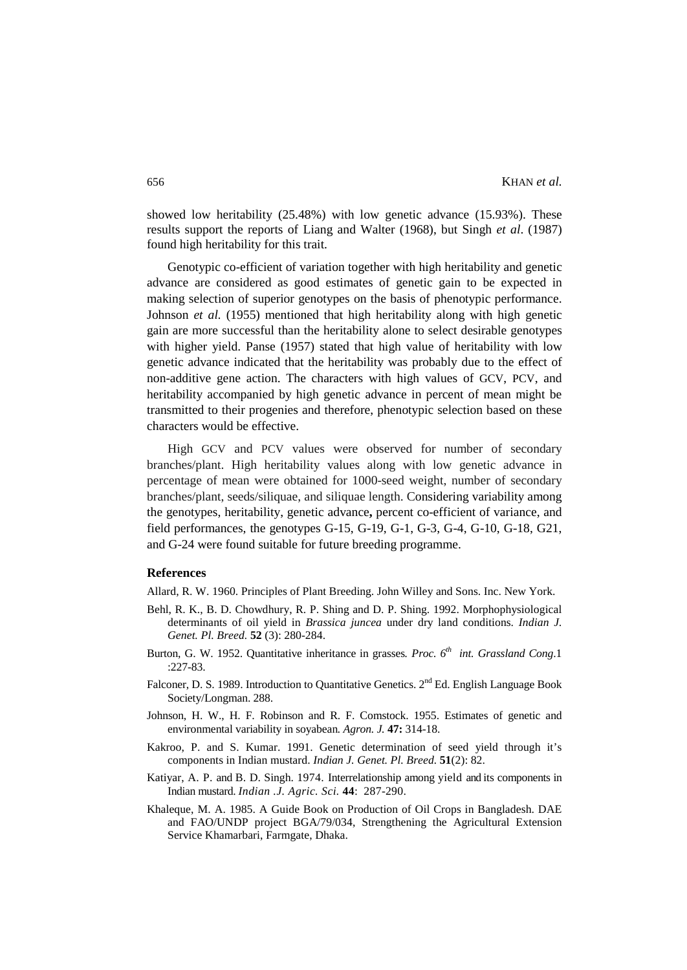showed low heritability (25.48%) with low genetic advance (15.93%). These results support the reports of Liang and Walter (1968), but Singh *et al*. (1987) found high heritability for this trait.

Genotypic co-efficient of variation together with high heritability and genetic advance are considered as good estimates of genetic gain to be expected in making selection of superior genotypes on the basis of phenotypic performance. Johnson *et al.* (1955) mentioned that high heritability along with high genetic gain are more successful than the heritability alone to select desirable genotypes with higher yield. Panse (1957) stated that high value of heritability with low genetic advance indicated that the heritability was probably due to the effect of non-additive gene action. The characters with high values of GCV, PCV, and heritability accompanied by high genetic advance in percent of mean might be transmitted to their progenies and therefore, phenotypic selection based on these characters would be effective.

High GCV and PCV values were observed for number of secondary branches/plant. High heritability values along with low genetic advance in percentage of mean were obtained for 1000-seed weight, number of secondary branches/plant, seeds/siliquae, and siliquae length. Considering variability among the genotypes, heritability, genetic advance**,** percent co-efficient of variance, and field performances, the genotypes G-15, G-19, G-1, G-3, G-4, G-10, G-18, G21, and G-24 were found suitable for future breeding programme.

## **References**

Allard, R. W. 1960. Principles of Plant Breeding. John Willey and Sons. Inc. New York.

- Behl, R. K., B. D. Chowdhury, R. P. Shing and D. P. Shing. 1992. Morphophysiological determinants of oil yield in *Brassica juncea* under dry land conditions. *Indian J. Genet. Pl. Breed.* **52** (3): 280-284.
- Burton, G. W. 1952. Quantitative inheritance in grasses. *Proc.* 6<sup>th</sup> int. Grassland Cong.1 :227-83.
- Falconer, D. S. 1989. Introduction to Quantitative Genetics.  $2<sup>nd</sup>$  Ed. English Language Book Society/Longman. 288.
- Johnson, H. W., H. F. Robinson and R. F. Comstock. 1955. Estimates of genetic and environmental variability in soyabean*. Agron. J.* **47:** 314-18.
- Kakroo, P. and S. Kumar. 1991. Genetic determination of seed yield through it's components in Indian mustard. *Indian J. Genet. Pl. Breed.* **51**(2): 82.
- Katiyar, A. P. and B. D. Singh. 1974. Interrelationship among yield and its components in Indian mustard. *Indian .J. Agric. Sci.* **44**: 287-290.
- Khaleque, M. A. 1985. A Guide Book on Production of Oil Crops in Bangladesh. DAE and FAO/UNDP project BGA/79/034, Strengthening the Agricultural Extension Service Khamarbari, Farmgate, Dhaka.